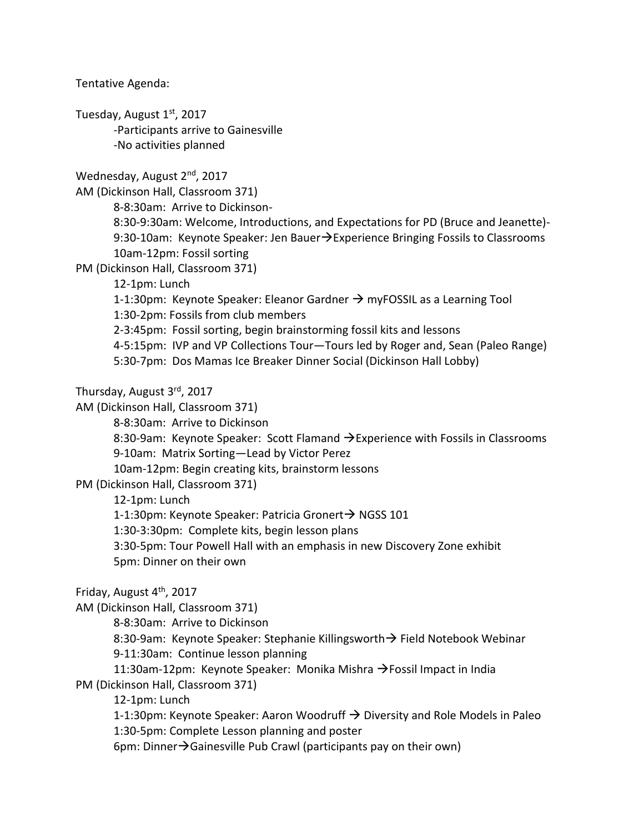Tentative Agenda:

Tuesday, August  $1<sup>st</sup>$ , 2017 -Participants arrive to Gainesville -No activities planned

Wednesday, August 2<sup>nd</sup>, 2017

AM (Dickinson Hall, Classroom 371)

8-8:30am: Arrive to Dickinson-

8:30-9:30am: Welcome, Introductions, and Expectations for PD (Bruce and Jeanette)- 9:30-10am: Keynote Speaker: Jen Bauer $\rightarrow$ Experience Bringing Fossils to Classrooms 10am-12pm: Fossil sorting

PM (Dickinson Hall, Classroom 371)

12-1pm: Lunch

1-1:30pm: Keynote Speaker: Eleanor Gardner  $\rightarrow$  myFOSSIL as a Learning Tool

1:30-2pm: Fossils from club members

2-3:45pm: Fossil sorting, begin brainstorming fossil kits and lessons

4-5:15pm: IVP and VP Collections Tour—Tours led by Roger and, Sean (Paleo Range)

5:30-7pm: Dos Mamas Ice Breaker Dinner Social (Dickinson Hall Lobby)

Thursday, August 3rd, 2017

AM (Dickinson Hall, Classroom 371)

8-8:30am: Arrive to Dickinson

8:30-9am: Keynote Speaker: Scott Flamand > Experience with Fossils in Classrooms 9-10am: Matrix Sorting—Lead by Victor Perez

10am-12pm: Begin creating kits, brainstorm lessons

PM (Dickinson Hall, Classroom 371)

12-1pm: Lunch

1-1:30pm: Keynote Speaker: Patricia Gronert→ NGSS 101

1:30-3:30pm: Complete kits, begin lesson plans

3:30-5pm: Tour Powell Hall with an emphasis in new Discovery Zone exhibit

5pm: Dinner on their own

Friday, August 4<sup>th</sup>, 2017

AM (Dickinson Hall, Classroom 371)

8-8:30am: Arrive to Dickinson

8:30-9am: Keynote Speaker: Stephanie Killingsworth  $\rightarrow$  Field Notebook Webinar 9-11:30am: Continue lesson planning

11:30am-12pm: Keynote Speaker: Monika Mishra  $\rightarrow$  Fossil Impact in India PM (Dickinson Hall, Classroom 371)

12-1pm: Lunch

1-1:30pm: Keynote Speaker: Aaron Woodruff  $\rightarrow$  Diversity and Role Models in Paleo 1:30-5pm: Complete Lesson planning and poster

6pm: Dinner $\rightarrow$ Gainesville Pub Crawl (participants pay on their own)